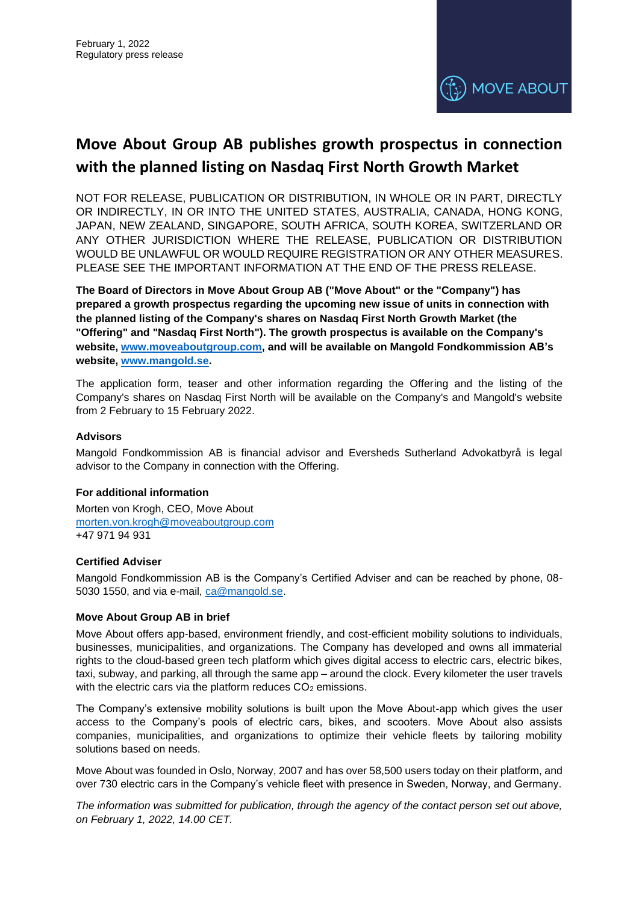

# **Move About Group AB publishes growth prospectus in connection with the planned listing on Nasdaq First North Growth Market**

NOT FOR RELEASE, PUBLICATION OR DISTRIBUTION, IN WHOLE OR IN PART, DIRECTLY OR INDIRECTLY, IN OR INTO THE UNITED STATES, AUSTRALIA, CANADA, HONG KONG, JAPAN, NEW ZEALAND, SINGAPORE, SOUTH AFRICA, SOUTH KOREA, SWITZERLAND OR ANY OTHER JURISDICTION WHERE THE RELEASE, PUBLICATION OR DISTRIBUTION WOULD BE UNLAWFUL OR WOULD REQUIRE REGISTRATION OR ANY OTHER MEASURES. PLEASE SEE THE IMPORTANT INFORMATION AT THE END OF THE PRESS RELEASE.

**The Board of Directors in Move About Group AB ("Move About" or the "Company") has prepared a growth prospectus regarding the upcoming new issue of units in connection with the planned listing of the Company's shares on Nasdaq First North Growth Market (the "Offering" and "Nasdaq First North"). The growth prospectus is available on the Company's website, www.moveaboutgroup.com, and will be available on Mangold Fondkommission AB's website, www.mangold.se.**

The application form, teaser and other information regarding the Offering and the listing of the Company's shares on Nasdaq First North will be available on the Company's and Mangold's website from 2 February to 15 February 2022.

# **Advisors**

Mangold Fondkommission AB is financial advisor and Eversheds Sutherland Advokatbyrå is legal advisor to the Company in connection with the Offering.

# **For additional information**

Morten von Krogh, CEO, Move About morten.von.krogh@moveaboutgroup.com +47 971 94 931

# **Certified Adviser**

Mangold Fondkommission AB is the Company's Certified Adviser and can be reached by phone, 08- 5030 1550, and via e-mail, ca@mangold.se.

# **Move About Group AB in brief**

Move About offers app-based, environment friendly, and cost-efficient mobility solutions to individuals, businesses, municipalities, and organizations. The Company has developed and owns all immaterial rights to the cloud-based green tech platform which gives digital access to electric cars, electric bikes, taxi, subway, and parking, all through the same app – around the clock. Every kilometer the user travels with the electric cars via the platform reduces  $CO<sub>2</sub>$  emissions.

The Company's extensive mobility solutions is built upon the Move About-app which gives the user access to the Company's pools of electric cars, bikes, and scooters. Move About also assists companies, municipalities, and organizations to optimize their vehicle fleets by tailoring mobility solutions based on needs.

Move About was founded in Oslo, Norway, 2007 and has over 58,500 users today on their platform, and over 730 electric cars in the Company's vehicle fleet with presence in Sweden, Norway, and Germany.

*The information was submitted for publication, through the agency of the contact person set out above, on February 1, 2022, 14.00 CET.*